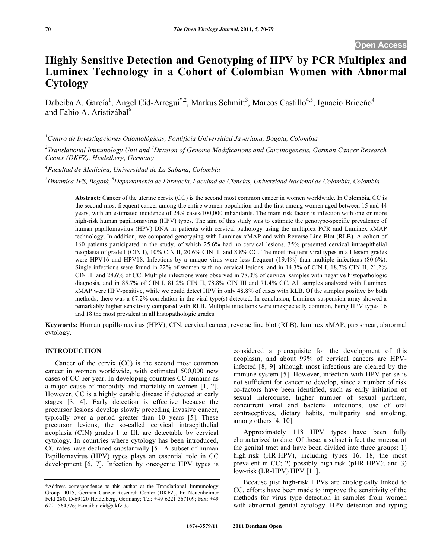# **Highly Sensitive Detection and Genotyping of HPV by PCR Multiplex and Luminex Technology in a Cohort of Colombian Women with Abnormal Cytology**

Dabeiba A. García<sup>1</sup>, Angel Cid-Arregui<sup>\*,2</sup>, Markus Schmitt<sup>3</sup>, Marcos Castillo<sup>4,5</sup>, Ignacio Briceño<sup>4</sup> and Fabio A. Aristizábal<sup>6</sup>

*1 Centro de Investigaciones Odontológicas, Pontificia Universidad Javeriana, Bogota, Colombia* 

*2 Translational Immunology Unit and <sup>3</sup> Division of Genome Modifications and Carcinogenesis, German Cancer Research Center (DKFZ), Heidelberg, Germany* 

*4 Facultad de Medicina, Universidad de La Sabana, Colombia* 

<sup>5</sup>Dinamica-IPS, Bogotá, <sup>6</sup>Departamento de Farmacia, Facultad de Ciencias, Universidad Nacional de Colombia, Colombia

**Abstract:** Cancer of the uterine cervix (CC) is the second most common cancer in women worldwide. In Colombia, CC is the second most frequent cancer among the entire women population and the first among women aged between 15 and 44 years, with an estimated incidence of 24.9 cases/100,000 inhabitants. The main risk factor is infection with one or more high-risk human papillomavirus (HPV) types. The aim of this study was to estimate the genotype-specific prevalence of human papillomavirus (HPV) DNA in patients with cervical pathology using the multiplex PCR and Luminex xMAP technology. In addition, we compared genotyping with Luminex xMAP and with Reverse Line Blot (RLB). A cohort of 160 patients participated in the study, of which 25.6% had no cervical lesions, 35% presented cervical intraepithelial neoplasia of grade I (CIN I), 10% CIN II, 20.6% CIN III and 8.8% CC. The most frequent viral types in all lesion grades were HPV16 and HPV18. Infections by a unique virus were less frequent (19.4%) than multiple infections (80.6%). Single infections were found in 22% of women with no cervical lesions, and in 14.3% of CIN I, 18.7% CIN II, 21.2% CIN III and 28.6% of CC. Multiple infections were observed in 78.0% of cervical samples with negative histopathologic diagnosis, and in 85.7% of CIN I, 81.2% CIN II, 78.8% CIN III and 71.4% CC. All samples analyzed with Luminex xMAP were HPV-positive, while we could detect HPV in only 48.8% of cases with RLB. Of the samples positive by both methods, there was a 67.2% correlation in the viral type(s) detected. In conclusion, Luminex suspension array showed a remarkably higher sensitivity compared with RLB. Multiple infections were unexpectedly common, being HPV types 16 and 18 the most prevalent in all histopathologic grades.

**Keywords:** Human papillomavirus (HPV), CIN, cervical cancer, reverse line blot (RLB), luminex xMAP, pap smear, abnormal cytology.

### **INTRODUCTION**

 Cancer of the cervix (CC) is the second most common cancer in women worldwide, with estimated 500,000 new cases of CC per year. In developing countries CC remains as a major cause of morbidity and mortality in women [1, 2]. However, CC is a highly curable disease if detected at early stages [3, 4]. Early detection is effective because the precursor lesions develop slowly preceding invasive cancer, typically over a period greater than 10 years [5]. These precursor lesions, the so-called cervical intraepithelial neoplasia (CIN) grades I to III, are detectable by cervical cytology. In countries where cytology has been introduced, CC rates have declined substantially [5]. A subset of human Papillomavirus (HPV) types plays an essential role in CC development [6, 7]. Infection by oncogenic HPV types is

considered a prerequisite for the development of this neoplasm, and about 99% of cervical cancers are HPVinfected [8, 9] although most infections are cleared by the immune system [5]. However, infection with HPV per se is not sufficient for cancer to develop, since a number of risk co-factors have been identified, such as early initiation of sexual intercourse, higher number of sexual partners, concurrent viral and bacterial infections, use of oral contraceptives, dietary habits, multiparity and smoking, among others [4, 10].

 Approximately 118 HPV types have been fully characterized to date. Of these, a subset infect the mucosa of the genital tract and have been divided into three groups: 1) high-risk (HR-HPV), including types 16, 18, the most prevalent in CC; 2) possibly high-risk (pHR-HPV); and 3) low-risk (LR-HPV) HPV [11].

 Because just high-risk HPVs are etiologically linked to CC, efforts have been made to improve the sensitivity of the methods for virus type detection in samples from women with abnormal genital cytology. HPV detection and typing

<sup>\*</sup>Address correspondence to this author at the Translational Immunology Group D015, German Cancer Research Center (DKFZ), Im Neuenheimer Feld 280, D-69120 Heidelberg, Germany; Tel: +49 6221 567109; Fax: +49 6221 564776; E-mail: a.cid@dkfz.de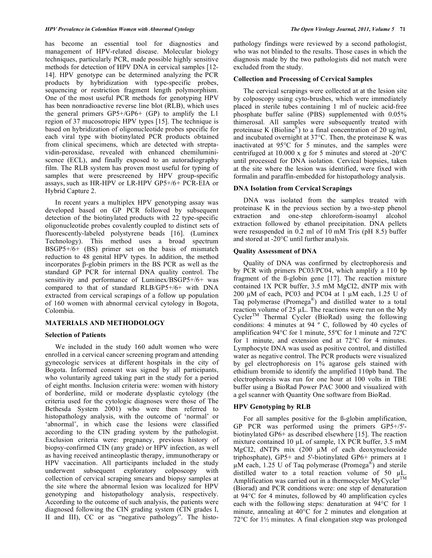has become an essential tool for diagnostics and management of HPV-related disease. Molecular biology techniques, particularly PCR, made possible highly sensitive methods for detection of HPV DNA in cervical samples [12- 14]. HPV genotype can be determined analyzing the PCR products by hybridization with type-specific probes, sequencing or restriction fragment length polymorphism. One of the most useful PCR methods for genotyping HPV has been nonradioactive reverse line blot (RLB), which uses the general primers  $GP5+/GP6+$  (GP) to amplify the L1 region of 37 mucosotropic HPV types [15]. The technique is based on hybridization of oligonucleotide probes specific for each viral type with biotinylated PCR products obtained from clinical specimens, which are detected with streptavidin-peroxidase, revealed with enhanced chemiluminiscence (ECL), and finally exposed to an autoradiography film. The RLB system has proven most useful for typing of samples that were prescreened by HPV group-specific assays, such as HR-HPV or LR-HPV GP5+/6+ PCR-EIA or Hybrid Capture 2.

 In recent years a multiplex HPV genotyping assay was developed based on GP PCR followed by subsequent detection of the biotinylated products with 22 type-specific oligonucleotide probes covalently coupled to distinct sets of fluorescently-labeled polystyrene beads [16]. (Luminex Technology). This method uses a broad spectrum  $BSGP5+/6+$  (BS) primer set on the basis of mismatch reduction to 48 genital HPV types. In addition, the method incorporates  $\beta$ -globin primers in the BS PCR as well as the standard GP PCR for internal DNA quality control. The sensitivity and performance of Luminex/BSGP5+/6+ was compared to that of standard RLB/GP5+/6+ with DNA extracted from cervical scrapings of a follow up population of 160 women with abnormal cervical cytology in Bogota, Colombia.

# **MATERIALS AND METHODOLOGY**

### **Selection of Patients**

 We included in the study 160 adult women who were enrolled in a cervical cancer screening program and attending gynecologic services at different hospitals in the city of Bogota. Informed consent was signed by all participants, who voluntarily agreed taking part in the study for a period of eight months. Inclusion criteria were: women with history of borderline, mild or moderate dysplastic cytology (the criteria used for the cytologic diagnoses were those of The Bethesda System 2001) who were then referred to histopathology analysis, with the outcome of 'normal' or 'abnormal', in which case the lesions were classified according to the CIN grading system by the pathologist. Exclusion criteria were: pregnancy, previous history of biopsy-confirmed CIN (any grade) or HPV infection, as well as having received antineoplastic therapy, immunotherapy or HPV vaccination. All participants included in the study underwent subsequent exploratory colposcopy with collection of cervical scraping smears and biopsy samples at the site where the abnormal lesion was localized for HPV genotyping and histopathology analysis, respectively. According to the outcome of such analysis, the patients were diagnosed following the CIN grading system (CIN grades I, II and III), CC or as "negative pathology". The histopathology findings were reviewed by a second pathologist, who was not blinded to the results. Those cases in which the diagnosis made by the two pathologists did not match were excluded from the study.

### **Collection and Processing of Cervical Samples**

 The cervical scrapings were collected at at the lesion site by colposcopy using cyto-brushes, which were immediately placed in sterile tubes containing 1 ml of nucleic acid-free phosphate buffer saline (PBS) supplemented with 0.05% thimerosal. All samples were subsequently treated with proteinase K (Bioline<sup>®</sup>) to a final concentration of 20 ug/ml, and incubated overnight at 37°C. Then, the proteinase K was inactivated at 95°C for 5 minutes, and the samples were centrifuged at 10.000 x g for 5 minutes and stored at -20°C until processed for DNA isolation. Cervical biopsies, taken at the site where the lesion was identified, were fixed with formalin and paraffin-embedded for histopathology analysis.

### **DNA Isolation from Cervical Scrapings**

 DNA was isolated from the samples treated with proteinase K in the previous section by a two-step phenol extraction and one-step chloroform-isoamyl alcohol extraction followed by ethanol precipitation. DNA pellets were resuspended in 0.2 ml of 10 mM Tris (pH 8.5) buffer and stored at -20°C until further analysis.

### **Quality Assessment of DNA**

 Quality of DNA was confirmed by electrophoresis and by PCR with primers PC03/PC04, which amplify a 110 bp fragment of the ß-globin gene [17]. The reaction mixture contained 1X PCR buffer, 3.5 mM MgCI2, dNTP mix with 200  $\mu$ M of each, PC03 and PC04 at 1  $\mu$ M each, 1.25 U of Taq polymerase (Promega®) and distilled water to a total reaction volume of  $25 \mu L$ . The reactions were run on the My  $Cycle<sup>TM</sup>$  Thermal Cycler (BioRad) using the following conditions: 4 minutes at 94 º C, followed by 40 cycles of amplification 94°C for 1 minute, 55ºC for 1 minute and 72ºC for 1 minute, and extension end at 72°C for 4 minutes. Lymphocyte DNA was used as positive control, and distilled water as negative control. The PCR products were visualized by gel electrophoresis on 1% agarose gels stained with ethidium bromide to identify the amplified 110pb band. The electrophoresis was run for one hour at 100 volts in TBE buffer using a BioRad Power PAC 3000 and visualized with a gel scanner with Quantity One software from BioRad.

### **HPV Genotyping by RLB**

 For all samples positive for the ß-globin amplification, GP PCR was performed using the primers GP5+/5' biotinylated GP6+ as described elsewhere [15]. The reaction mixture contained 10  $\mu$ L of sample, 1X PCR buffer, 3.5 mM MgCI2, dNTPs mix  $(200 \mu M)$  of each deoxynucleoside triphosphate), GP5+ and 5'-biotinylated GP6+ primers at 1  $\mu$ M each, 1.25 U of Taq polymerase (Promega<sup>®</sup>) and sterile distilled water to a total reaction volume of 50  $\mu$ L. Amplification was carried out in a thermocycler MyCycler<sup>TM</sup> (Biorad) and PCR conditions were: one step of denaturation at 94°C for 4 minutes, followed by 40 amplification cycles each with the following steps: denaturation at 94°C for 1 minute, annealing at 40°C for 2 minutes and elongation at 72 $\degree$ C for 1½ minutes. A final elongation step was prolonged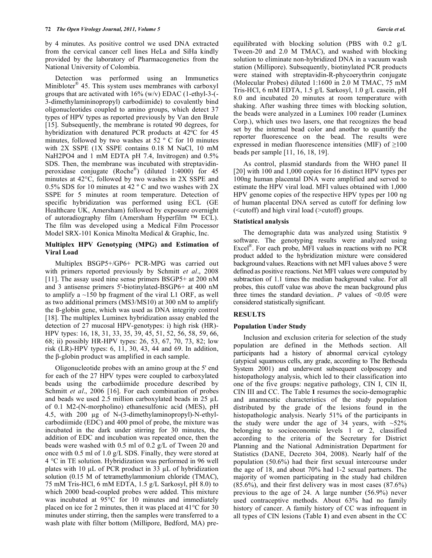by 4 minutes. As positive control we used DNA extracted from the cervical cancer cell lines HeLa and SiHa kindly provided by the laboratory of Pharmacogenetics from the National University of Colombia.

 Detection was performed using an Immunetics Minibloter® 45. This system uses membranes with carboxyl groups that are activated with  $16\%$  (w/v) EDAC (1-ethyl-3-(-3-dimethylamininopropyl) carbodiimide) to covalently bind oligonucleotides coupled to amino groups, which detect 37 types of HPV types as reported previously by Van den Brule [15]. Subsequently, the membrane is rotated 90 degrees, for hybridization with denatured PCR products at 42ºC for 45 minutes, followed by two washes at 52 º C for 10 minutes with 2X SSPE (1X SSPE contains 0.18 M NaCl, 10 mM NaH2PO4 and 1 mM EDTA pH 7.4, Invitrogen) and 0.5% SDS. Then, the membrane was incubated with streptavidinperoxidase conjugate (Roche®) (diluted 1:4000) for 45 minutes at 42°C, followed by two washes in 2X SSPE and 0.5% SDS for 10 minutes at 42 º C and two washes with 2X SSPE for 5 minutes at room temperature. Detection of specific hybridization was performed using ECL (GE Healthcare UK, Amersham) followed by exposure overnight of autoradiography film (Amersham Hyperfilm ™ ECL). The film was developed using a Medical Film Processor Model SRX-101 Konica Minolta Medical & Graphic, Inc.

# **Multiplex HPV Genotyping (MPG) and Estimation of Viral Load**

 Multiplex BSGP5+/GP6+ PCR-MPG was carried out with primers reported previously by Schmitt *et al*., 2008 [11]. The assay used nine sense primers BSGP5+ at 200 nM and 3 antisense primers 5'-biotinylated-BSGP6+ at 400 nM to amplify a ~150 bp fragment of the viral L1 ORF, as well as two additional primers (MS3/MS10) at 300 nM to amplify the ß-globin gene, which was used as DNA integrity control [18]. The multiplex Luminex hybridization assay enabled the detection of 27 mucosal HPV-genotypes: i) high risk (HR)- HPV types: 16, 18, 31, 33, 35, 39, 45, 51, 52, 56, 58, 59, 66, 68; ii) possibly HR-HPV types: 26, 53, 67, 70, 73, 82; low risk (LR)-HPV types: 6, 11, 30, 43, 44 and 69. In addition, the  $\beta$ -globin product was amplified in each sample.

 Oligonucleotide probes with an amino group at the 5' end for each of the 27 HPV types were coupled to carboxylated beads using the carbodiimide procedure described by Schmitt *et al.*, 2006 [16]. For each combination of probes and beads we used 2.5 million carboxylated beads in  $25 \mu L$ of 0.1 M2-(N-morpholino) ethanesulfonic acid (MES), pH 4.5, with 200 µg of N-(3-dimethylaminopropyl)-N-ethylcarbodiimide (EDC) and 400 pmol of probe, the mixture was incubated in the dark under stirring for 30 minutes, the addition of EDC and incubation was repeated once, then the beads were washed with 0.5 ml of 0.2 g/L of Tween 20 and once with 0.5 ml of 1.0 g/L SDS. Finally, they were stored at 4 °C in TE solution. Hybridization was performed in 96 well plates with 10  $\mu$ L of PCR product in 33  $\mu$ L of hybridization solution (0.15 M of tetramethylammonium chloride (TMAC), 75 mM Tris-HCl, 6 mM EDTA, 1.5 g/L Sarkosyl, pH 8.0) to which 2000 bead-coupled probes were added. This mixture was incubated at 95°C for 10 minutes and immediately placed on ice for 2 minutes, then it was placed at 41°C for 30 minutes under stirring, then the samples were transferred to a wash plate with filter bottom (Millipore, Bedford, MA) preequilibrated with blocking solution (PBS with 0.2 g/L Tween-20 and 2.0 M TMAC), and washed with blocking solution to eliminate non-hybridized DNA in a vacuum wash station (Millipore). Subsequently, biotinylated PCR products were stained with streptavidin-R-phycoerythrin conjugate (Molecular Probes) diluted 1:1600 in 2.0 M TMAC, 75 mM Tris-HCl, 6 mM EDTA, 1.5 g/L Sarkosyl, 1.0 g/L casein, pH 8.0 and incubated 20 minutes at room temperature with shaking. After washing three times with blocking solution, the beads were analyzed in a Luminex 100 reader (Luminex Corp.), which uses two lasers, one that recognizes the bead set by the internal bead color and another to quantify the reporter fluorescence on the bead. The results were expressed in median fluorescence intensities (MIF) of  $\geq 100$ beads per sample [11, 16, 18, 19].

 As control, plasmid standards from the WHO panel II [20] with 100 and 1,000 copies for 16 distinct HPV types per 100ng human placental DNA were amplified and served to estimate the HPV viral load. MFI values obtained with 1,000 HPV genome copies of the respective HPV types per 100 ng of human placental DNA served as cutoff for defining low (<cutoff) and high viral load (>cutoff) groups.

# **Statistical analysis**

 The demographic data was analyzed using Statistix 9 software. The genotyping results were analyzed using Excel®. For each probe, MFI values in reactions with no PCR product added to the hybridization mixture were considered background values. Reactions with net MFI values above 5 were defined as positive reactions. Net MFI values were computed by subtraction of 1.1 times the median background value. For all probes, this cutoff value was above the mean background plus three times the standard deviation..  $P$  values of  $\leq 0.05$  were considered statisticallysignificant.

# **RESULTS**

# **Population Under Study**

 Inclusion and exclusion criteria for selection of the study population are defined in the Methods section. All participants had a history of abnormal cervical cytology (atypical squamous cells, any grade, according to The Bethesda System 2001) and underwent subsequent colposcopy and histopathology analysis, which led to their classification into one of the five groups: negative pathology, CIN I, CIN II, CIN III and CC. The Table **1** resumes the socio-demographic and anamnestic characteristics of the study population distributed by the grade of the lesions found in the histopathologic analysis. Nearly 51% of the participants in the study were under the age of 34 years, with  $\sim$ 52% belonging to socioeconomic levels 1 or 2, classified according to the criteria of the Secretary for District Planning and the National Administration Department for Statistics (DANE, Decreto 304, 2008). Nearly half of the population (50.6%) had their first sexual intercourse under the age of 18, and about 70% had 1-2 sexual partners. The majority of women participating in the study had children (85.6%), and their first delivery was in most cases (87.6%) previous to the age of 24. A large number (56.9%) never used contraceptive methods. About 63% had no family history of cancer. A family history of CC was infrequent in all types of CIN lesions (Table **1**) and even absent in the CC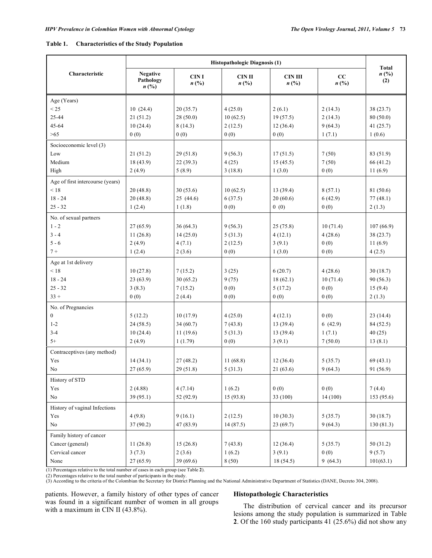| Table 1. | <b>Characteristics of the Study Population</b> |
|----------|------------------------------------------------|
|          |                                                |

|                                  | <b>Histopathologic Diagnosis (1)</b>                        |                                            |                                              |                                               |                                   |                                    |  |  |  |  |
|----------------------------------|-------------------------------------------------------------|--------------------------------------------|----------------------------------------------|-----------------------------------------------|-----------------------------------|------------------------------------|--|--|--|--|
| Characteristic                   | <b>Negative</b><br>Pathology<br>$n\left(\frac{0}{0}\right)$ | <b>CINI</b><br>$n\left(\frac{0}{0}\right)$ | <b>CIN II</b><br>$n\left(\frac{0}{0}\right)$ | <b>CIN III</b><br>$n\left(\frac{0}{0}\right)$ | cc<br>$n\left(\frac{0}{0}\right)$ | $n\left(\frac{0}{0}\right)$<br>(2) |  |  |  |  |
| Age (Years)                      |                                                             |                                            |                                              |                                               |                                   |                                    |  |  |  |  |
| < 25                             | 10(24.4)                                                    | 20(35.7)                                   | 4(25.0)                                      | 2(6.1)                                        | 2(14.3)                           | 38(23.7)                           |  |  |  |  |
| 25-44                            | 21(51.2)                                                    | 28(50.0)                                   | 10(62.5)                                     | 19(57.5)                                      | 2(14.3)                           | 80(50.0)                           |  |  |  |  |
| 45-64                            | 10(24.4)                                                    | 8(14.3)                                    | 2(12.5)                                      | 12(36.4)                                      | 9(64.3)                           | 41(25.7)                           |  |  |  |  |
| $>65$                            | 0(0)                                                        | 0(0)                                       | 0(0)                                         | 0(0)                                          | 1(7.1)                            | 1(0.6)                             |  |  |  |  |
| Socioeconomic level (3)          |                                                             |                                            |                                              |                                               |                                   |                                    |  |  |  |  |
| Low                              | 21(51.2)                                                    | 29(51.8)                                   | 9(56.3)                                      | 17(51.5)                                      | 7(50)                             | 83 (51.9)                          |  |  |  |  |
| Medium                           | 18(43.9)                                                    | 22(39.3)                                   | 4(25)                                        | 15(45.5)                                      | 7(50)                             | 66 (41.2)                          |  |  |  |  |
| High                             | 2(4.9)                                                      | 5(8.9)                                     | 3(18.8)                                      | 1(3.0)                                        | 0(0)                              | 11(6.9)                            |  |  |  |  |
| Age of first intercourse (years) |                                                             |                                            |                                              |                                               |                                   |                                    |  |  |  |  |
| < 18                             | 20(48.8)                                                    | 30(53.6)                                   | 10(62.5)                                     | 13(39.4)                                      | 8(57.1)                           | 81 (50.6)                          |  |  |  |  |
| $18 - 24$                        | 20(48.8)                                                    | 25(44.6)                                   | 6(37.5)                                      | 20(60.6)                                      | 6(42.9)                           | 77(48.1)                           |  |  |  |  |
| $25 - 32$                        | 1(2.4)                                                      | 1(1.8)                                     | 0(0)                                         | 0(0)                                          | 0(0)                              | 2(1.3)                             |  |  |  |  |
| No. of sexual partners           |                                                             |                                            |                                              |                                               |                                   |                                    |  |  |  |  |
| $1 - 2$                          | 27(65.9)                                                    | 36(64.3)                                   | 9(56.3)                                      | 25(75.8)                                      | 10(71.4)                          | 107(66.9)                          |  |  |  |  |
| $3 - 4$                          | 11(26.8)                                                    | 14(25.0)                                   | 5(31.3)                                      | 4(12.1)                                       | 4(28.6)                           | 38(23.7)                           |  |  |  |  |
| $5 - 6$                          | 2(4.9)                                                      | 4(7.1)                                     | 2(12.5)                                      | 3(9.1)                                        | 0(0)                              | 11(6.9)                            |  |  |  |  |
| $7 +$                            | 1(2.4)                                                      | 2(3.6)                                     | 0(0)                                         | 1(3.0)                                        | 0(0)                              | 4(2.5)                             |  |  |  |  |
| Age at 1st delivery              |                                                             |                                            |                                              |                                               |                                   |                                    |  |  |  |  |
| < 18                             | 10(27.8)                                                    | 7(15.2)                                    | 3(25)                                        | 6(20.7)                                       | 4(28.6)                           | 30(18.7)                           |  |  |  |  |
| $18 - 24$                        | 23(63.9)                                                    | 30(65.2)                                   | 9(75)                                        | 18(62.1)                                      | 10(71.4)                          | 90(56.3)                           |  |  |  |  |
| $25 - 32$                        | 3(8.3)                                                      | 7(15.2)                                    | 0(0)                                         | 5(17.2)                                       | 0(0)                              | 15(9.4)                            |  |  |  |  |
| $33 +$                           | 0(0)                                                        | 2(4.4)                                     | 0(0)                                         | 0(0)                                          | 0(0)                              | 2(1.3)                             |  |  |  |  |
| No. of Pregnancies               |                                                             |                                            |                                              |                                               |                                   |                                    |  |  |  |  |
| $\boldsymbol{0}$                 | 5(12.2)                                                     | 10(17.9)                                   | 4(25.0)                                      | 4(12.1)                                       | 0(0)                              | 23(14.4)                           |  |  |  |  |
| $1 - 2$                          | 24(58.5)                                                    | 34(60.7)                                   | 7(43.8)                                      | 13(39.4)                                      | 6(42.9)                           | 84 (52.5)                          |  |  |  |  |
| $3 - 4$                          | 10(24.4)                                                    | 11(19.6)                                   | 5(31.3)                                      | 13(39.4)                                      | 1(7.1)                            | 40(25)                             |  |  |  |  |
| $5+$                             | 2(4.9)                                                      | 1(1.79)                                    | 0(0)                                         | 3(9.1)                                        | 7(50.0)                           | 13(8.1)                            |  |  |  |  |
| Contraceptives (any method)      |                                                             |                                            |                                              |                                               |                                   |                                    |  |  |  |  |
| Yes                              | 14(34.1)                                                    | 27(48.2)                                   | 11(68.8)                                     | 12(36.4)                                      | 5(35.7)                           | 69(43.1)                           |  |  |  |  |
| No                               | 27 (65.9)                                                   | 29(51.8)                                   | 5(31.3)                                      | 21(63.6)                                      | 9(64.3)                           | 91(56.9)                           |  |  |  |  |
| History of STD                   |                                                             |                                            |                                              |                                               |                                   |                                    |  |  |  |  |
| Yes                              | 2(4.88)                                                     | 4(7.14)                                    | 1(6.2)                                       | 0(0)                                          | 0(0)                              | 7(4.4)                             |  |  |  |  |
| No                               | 39(95.1)                                                    | 52 (92.9)                                  | 15(93.8)                                     | 33 (100)                                      | 14 (100)                          | 153 (95.6)                         |  |  |  |  |
| History of vaginal Infections    |                                                             |                                            |                                              |                                               |                                   |                                    |  |  |  |  |
| Yes                              | 4(9.8)                                                      | 9(16.1)                                    | 2(12.5)                                      | 10(30.3)                                      | 5(35.7)                           | 30(18.7)                           |  |  |  |  |
| $\rm No$                         | 37(90.2)                                                    | 47 (83.9)                                  | 14(87.5)                                     | 23(69.7)                                      | 9(64.3)                           | 130(81.3)                          |  |  |  |  |
| Family history of cancer         |                                                             |                                            |                                              |                                               |                                   |                                    |  |  |  |  |
| Cancer (general)                 | 11(26.8)                                                    | 15(26.8)                                   | 7(43.8)                                      | 12(36.4)                                      | 5(35.7)                           | 50(31.2)                           |  |  |  |  |
| Cervical cancer                  | 3(7.3)                                                      | 2(3.6)                                     | 1(6.2)                                       | 3(9.1)                                        | 0(0)                              | 9(5.7)                             |  |  |  |  |
| None                             | 27(65.9)                                                    | 39 (69.6)                                  | 8(50)                                        | 18 (54.5)                                     | 9(64.3)                           | 101(63.1)                          |  |  |  |  |

(1) Percentages relative to the total number of cases in each group (see Table **2**).

(2) Percentages relative to the total number of participants in the study.

(3) According to the criteria of the Colombian the Secretary for District Planning and the National Administrative Department of Statistics (DANE, Decreto 304, 2008).

patients. However, a family history of other types of cancer was found in a significant number of women in all groups with a maximum in CIN II (43.8%).

# **Histopathologic Characteristics**

 The distribution of cervical cancer and its precursor lesions among the study population is summarized in Table **2**. Of the 160 study participants 41 (25.6%) did not show any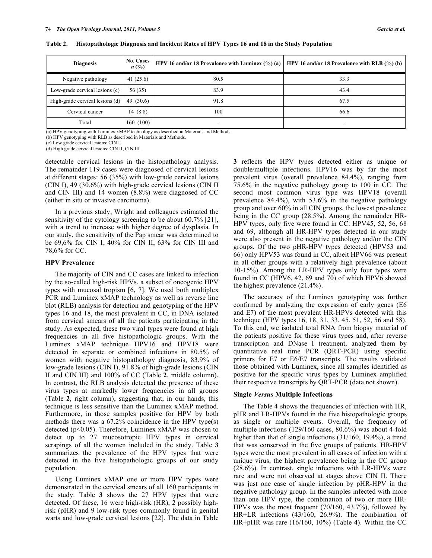| <b>Diagnosis</b>                  | <b>No. Cases</b><br>$n\,(\%)$ | HPV 16 and/or 18 Prevalence with Luminex $(\%)$ (a) | HPV 16 and/or 18 Prevalence with RLB $(\%)$ (b) |
|-----------------------------------|-------------------------------|-----------------------------------------------------|-------------------------------------------------|
| Negative pathology                | 41(25.6)                      | 80.5                                                | 33.3                                            |
| Low-grade cervical lesions (c)    | 56 (35)                       | 83.9                                                | 43.4                                            |
| High-grade cervical lesions $(d)$ | 49 $(30.6)$                   | 91.8                                                | 67.5                                            |
| Cervical cancer                   | 14(8.8)                       | 100                                                 | 66.6                                            |
| Total                             | 160(100)                      |                                                     |                                                 |

**Table 2. Histopathologic Diagnosis and Incident Rates of HPV Types 16 and 18 in the Study Population** 

(a) HPV genotyping with Luminex xMAP technology as described in Materials and Methods.

(b) HPV genotyping with RLB as described in Materials and Methods.

(c) Low grade cervical lesions: CIN I.

(d) High grade cervical lesions: CIN II, CIN III.

detectable cervical lesions in the histopathology analysis. The remainder 119 cases were diagnosed of cervical lesions at different stages: 56 (35%) with low-grade cervical lesions (CIN I), 49 (30.6%) with high-grade cervical lesions (CIN II and CIN III) and 14 women (8.8%) were diagnosed of CC (either in situ or invasive carcinoma).

 In a previous study, Wright and colleagues estimated the sensitivity of the cytology screening to be about 60.7% [21], with a trend to increase with higher degree of dysplasia. In our study, the sensitivity of the Pap smear was determined to be 69,6% for CIN I, 40% for CIN II, 63% for CIN III and 78,6% for CC.

### **HPV Prevalence**

 The majority of CIN and CC cases are linked to infection by the so-called high-risk HPVs, a subset of oncogenic HPV types with mucosal tropism [6, 7]. We used both multiplex PCR and Luminex xMAP technology as well as reverse line blot (RLB) analysis for detection and genotyping of the HPV types 16 and 18, the most prevalent in CC, in DNA isolated from cervical smears of all the patients participating in the study. As expected, these two viral types were found at high frequencies in all five histopathologic groups. With the Luminex xMAP technique HPV16 and HPV18 were detected in separate or combined infections in 80.5% of women with negative histopathology diagnosis, 83.9% of low-grade lesions (CIN I), 91.8% of high-grade lesions (CIN II and CIN III) and 100% of CC (Table **2**, middle column). In contrast, the RLB analysis detected the presence of these virus types at markedly lower frequencies in all groups (Table **2**, right column), suggesting that, in our hands, this technique is less sensitive than the Luminex xMAP method. Furthermore, in those samples positive for HPV by both methods there was a 67.2% coincidence in the HPV type(s) detected (p<0.05). Therefore, Luminex xMAP was chosen to detect up to 27 mucosotropic HPV types in cervical scrapings of all the women included in the study. Table **3** summarizes the prevalence of the HPV types that were detected in the five histopathologic groups of our study population.

 Using Luminex xMAP one or more HPV types were demonstrated in the cervical smears of all 160 participants in the study. Table **3** shows the 27 HPV types that were detected. Of these, 16 were high-risk (HR), 2 possibly highrisk (pHR) and 9 low-risk types commonly found in genital warts and low-grade cervical lesions [22]. The data in Table **3** reflects the HPV types detected either as unique or double/multiple infections. HPV16 was by far the most prevalent virus (overall prevalence 84.4%), ranging from 75.6% in the negative pathology group to 100 in CC. The second most common virus type was HPV18 (overall prevalence 84.4%), with 53.6% in the negative pathology group and over 60% in all CIN groups, the lowest prevalence being in the CC group (28.5%). Among the remainder HR-HPV types, only five were found in CC: HPV45, 52, 56, 68 and 69, although all HR-HPV types detected in our study were also present in the negative pathology and/or the CIN groups. Of the two pHR-HPV types detected (HPV53 and 66) only HPV53 was found in CC, albeit HPV66 was present in all other groups with a relatively high prevalence (about 10-15%). Among the LR-HPV types only four types were found in CC (HPV6, 42, 69 and 70) of which HPV6 showed the highest prevalence (21.4%).

 The accuracy of the Luminex genotyping was further confirmed by analyzing the expression of early genes (E6 and E7) of the most prevalent HR-HPVs detected with this technique (HPV types 16, 18, 31, 33, 45, 51, 52, 56 and 58). To this end, we isolated total RNA from biopsy material of the patients positive for these virus types and, after reverse transcription and DNase I treatment, analyzed them by quantitative real time PCR (QRT-PCR) using specific primers for E7 or E6/E7 transcripts. The results validated those obtained with Luminex, since all samples identified as positive for the specific virus types by Luminex amplified their respective transcripts by QRT-PCR (data not shown).

### **Single** *Versus* **Multiple Infections**

 The Table **4** shows the frequencies of infection with HR, pHR and LR-HPVs found in the five histopathologic groups as single or multiple events. Overall, the frequency of multiple infections (129/160 cases, 80.6%) was about 4-fold higher than that of single infections (31/160, 19.4%), a trend that was conserved in the five groups of patients. HR-HPV types were the most prevalent in all cases of infection with a unique virus, the highest prevalence being in the CC group (28.6%). In contrast, single infections with LR-HPVs were rare and were not observed at stages above CIN II. There was just one case of single infection by pHR-HPV in the negative pathology group. In the samples infected with more than one HPV type, the combination of two or more HR-HPVs was the most frequent (70/160, 43.7%), followed by HR+LR infections (43/160, 26.9%). The combination of HR+pHR was rare (16/160, 10%) (Table **4**). Within the CC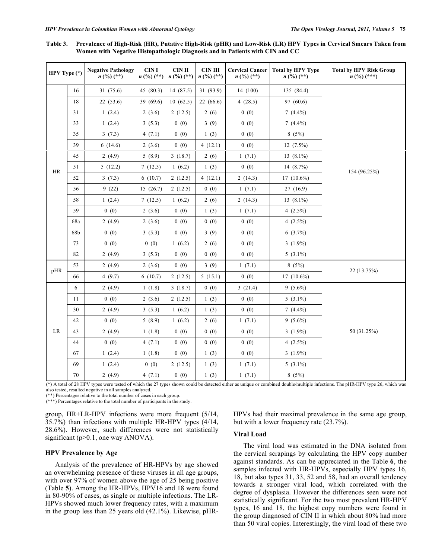| Table 3. Prevalence of High-Risk (HR), Putative High-Risk (pHR) and Low-Risk (LR) HPV Types in Cervical Smears Taken from |  |
|---------------------------------------------------------------------------------------------------------------------------|--|
| Women with Negative Histopathologic Diagnosis and in Patients with CIN and CC                                             |  |

| HPV Type (*) |     | <b>Negative Pathology</b><br>$n\binom{0}{0}$ (**) | <b>CIN I</b><br>$n$ (%) (**)                                                                                                                                                                                                                                                                                                    | <b>CIN II</b><br>$n\binom{0}{0}$ $(**)$ | <b>CIN III</b><br>$n$ (%) (**) | <b>Cervical Cancer</b><br>$n$ (%) (**) | <b>Total by HPV Type</b><br>$n$ (%) (**) | <b>Total by HPV Risk Group</b><br>$n\binom{0}{0}$ $(***)$ |
|--------------|-----|---------------------------------------------------|---------------------------------------------------------------------------------------------------------------------------------------------------------------------------------------------------------------------------------------------------------------------------------------------------------------------------------|-----------------------------------------|--------------------------------|----------------------------------------|------------------------------------------|-----------------------------------------------------------|
|              | 16  | 31 (75.6)                                         | 45 (80.3)                                                                                                                                                                                                                                                                                                                       | 14 (87.5)                               | 31 (93.9)                      | 14 (100)                               | 135 (84.4)                               |                                                           |
|              | 18  | 22(53.6)                                          | 39 (69.6)                                                                                                                                                                                                                                                                                                                       | 10(62.5)                                | 22(66.6)                       | 4 $(28.5)$                             | 97 (60.6)                                |                                                           |
|              | 31  | 1(2.4)                                            | 2(3.6)                                                                                                                                                                                                                                                                                                                          | 2(12.5)                                 | 2(6)                           | 0(0)                                   | $7(4.4\%)$                               |                                                           |
|              | 33  | 1(2.4)                                            | 0(0)<br>3(5.3)<br>4 $(7.1)$<br>0(0)<br>2(3.6)<br>0(0)<br>5(8.9)<br>7(12.5)<br>6(10.7)<br>15(26.7)<br>7(12.5)<br>2(3.6)<br>0(0)<br>2(3.6)<br>0(0)<br>3(5.3)<br>0(0)<br>0(0)<br>3(5.3)<br>0(0)<br>2(3.6)<br>0(0)<br>6(10.7)<br>1(1.8)<br>2(3.6)<br>3(5.3)<br>5(8.9)<br>1(1.8)<br>0(0)<br>4(7.1)<br>0(0)<br>1(1.8)<br>0(0)<br>0(0) |                                         | 3(9)                           | 0(0)                                   | $7(4.4\%)$                               |                                                           |
|              | 35  | 3(7.3)                                            |                                                                                                                                                                                                                                                                                                                                 |                                         | 1(3)                           | 0(0)                                   | 8(5%)                                    |                                                           |
|              | 39  | 6(14.6)                                           |                                                                                                                                                                                                                                                                                                                                 |                                         | 4(12.1)                        | 0(0)                                   | $12(7.5\%)$                              |                                                           |
|              | 45  | 2(4.9)                                            |                                                                                                                                                                                                                                                                                                                                 | 3(18.7)                                 | 2(6)                           | 1(7.1)                                 | 13 $(8.1\%)$                             |                                                           |
| <b>HR</b>    | 51  | 5(12.2)                                           |                                                                                                                                                                                                                                                                                                                                 | 1(6.2)                                  | 1(3)                           | 0(0)                                   | 14 (8.7%)                                | 154 (96.25%)                                              |
|              | 52  | 3(7.3)                                            |                                                                                                                                                                                                                                                                                                                                 | 2(12.5)                                 | 4(12.1)                        | 2(14.3)                                | $17(10.6\%)$                             |                                                           |
|              | 56  | 9(22)                                             |                                                                                                                                                                                                                                                                                                                                 | 2(12.5)                                 | 0(0)                           | 1(7.1)                                 | 27(16.9)                                 |                                                           |
|              | 58  | 1(2.4)                                            |                                                                                                                                                                                                                                                                                                                                 | 1(6.2)                                  | 2(6)                           | 2(14.3)                                | 13 $(8.1\%)$                             |                                                           |
|              | 59  | 0(0)                                              |                                                                                                                                                                                                                                                                                                                                 |                                         | 1(3)                           | 1(7.1)                                 | 4 $(2.5\%)$                              |                                                           |
|              | 68a | 2(4.9)                                            |                                                                                                                                                                                                                                                                                                                                 |                                         | 0(0)                           | 0(0)                                   | 4 $(2.5\%)$                              |                                                           |
|              | 68b | 0(0)                                              |                                                                                                                                                                                                                                                                                                                                 |                                         | 3(9)                           | 0(0)                                   | $6(3.7\%)$                               |                                                           |
|              | 73  | 0(0)                                              |                                                                                                                                                                                                                                                                                                                                 | 1(6.2)                                  | 2(6)                           | 0(0)                                   | $3(1.9\%)$                               |                                                           |
|              | 82  | 2(4.9)                                            |                                                                                                                                                                                                                                                                                                                                 |                                         | 0(0)                           | 0(0)                                   | $5(3.1\%)$                               |                                                           |
| pHR          | 53  | 2(4.9)                                            |                                                                                                                                                                                                                                                                                                                                 |                                         | 3(9)                           | 1(7.1)                                 | 8(5%)                                    | 22 (13.75%)                                               |
|              | 66  | 4(9.7)                                            |                                                                                                                                                                                                                                                                                                                                 | 2(12.5)                                 | 5(15.1)                        | 0(0)                                   | $17(10.6\%)$                             |                                                           |
|              | 6   | 2(4.9)                                            |                                                                                                                                                                                                                                                                                                                                 | 3(18.7)                                 | 0(0)                           | 3(21.4)                                | $9(5.6\%)$                               |                                                           |
|              | 11  | 0(0)                                              |                                                                                                                                                                                                                                                                                                                                 | 2(12.5)                                 | 1(3)                           | 0(0)                                   | $5(3.1\%)$                               |                                                           |
|              | 30  | 2(4.9)                                            |                                                                                                                                                                                                                                                                                                                                 | 1(6.2)                                  | 1(3)                           | 0(0)                                   | $7(4.4\%)$                               |                                                           |
|              | 42  | 0(0)                                              |                                                                                                                                                                                                                                                                                                                                 | 1(6.2)                                  | 2(6)                           | 1(7.1)                                 | $9(5.6\%)$                               |                                                           |
| LR           | 43  | 2(4.9)                                            |                                                                                                                                                                                                                                                                                                                                 |                                         | 0(0)                           | 0(0)                                   | 3 $(1.9\%)$                              | 50 (31.25%)                                               |
|              | 44  | 0(0)                                              |                                                                                                                                                                                                                                                                                                                                 |                                         | 0(0)                           | 0(0)                                   | 4 $(2.5\%)$                              |                                                           |
|              | 67  | 1(2.4)                                            |                                                                                                                                                                                                                                                                                                                                 |                                         | 1(3)                           | 0(0)                                   | 3 $(1.9\%)$                              |                                                           |
|              | 69  | 1(2.4)                                            |                                                                                                                                                                                                                                                                                                                                 | 2(12.5)                                 | 1(3)                           | 1(7.1)                                 | 5 $(3.1\%)$                              |                                                           |
|              | 70  | 2(4.9)                                            | 4(7.1)                                                                                                                                                                                                                                                                                                                          | 0(0)                                    | 1(3)                           | 1(7.1)                                 | 8(5%)                                    |                                                           |

(\*) A total of 28 HPV types were tested of which the 27 types shown could be detected either as unique or combined double/multiple infections. The pHR-HPV type 26, which was also tested, resulted negative in all samples analyzed.

\*\*) Percentages relative to the total number of cases in each group.

(\*\*\*) Percentages relative to the total number of participants in the study.

group, HR+LR-HPV infections were more frequent (5/14, 35.7%) than infections with multiple HR-HPV types (4/14, 28.6%). However, such differences were not statistically significant (p>0.1, one way ANOVA).

# **HPV Prevalence by Age**

 Analysis of the prevalence of HR-HPVs by age showed an overwhelming presence of these viruses in all age groups, with over 97% of women above the age of 25 being positive (Table **5**). Among the HR-HPVs, HPV16 and 18 were found in 80-90% of cases, as single or multiple infections. The LR-HPVs showed much lower frequency rates, with a maximum in the group less than 25 years old (42.1%). Likewise, pHR- HPVs had their maximal prevalence in the same age group, but with a lower frequency rate (23.7%).

# **Viral Load**

 The viral load was estimated in the DNA isolated from the cervical scrapings by calculating the HPV copy number against standards. As can be appreciated in the Table **6**, the samples infected with HR-HPVs, especially HPV types 16, 18, but also types 31, 33, 52 and 58, had an overall tendency towards a stronger viral load, which correlated with the degree of dysplasia. However the differences seen were not statistically significant. For the two most prevalent HR-HPV types, 16 and 18, the highest copy numbers were found in the group diagnosed of CIN II in which about 80% had more than 50 viral copies. Interestingly, the viral load of these two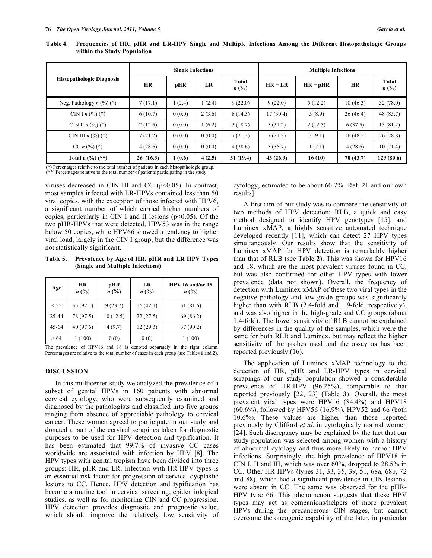|                                  |           | <b>Single Infections</b>        |        |           | <b>Multiple Infections</b> |           |                    |           |  |  |
|----------------------------------|-----------|---------------------------------|--------|-----------|----------------------------|-----------|--------------------|-----------|--|--|
| <b>Histopathologic Diagnosis</b> | <b>HR</b> | Total<br>LR<br>pHR<br>$n\,(\%)$ |        | $HR + LR$ | $HR + pHR$                 | <b>HR</b> | Total<br>$n\,(\%)$ |           |  |  |
| Neg. Pathology $n$ $(\%)$ $(*)$  | 7(17.1)   | 1(2.4)                          | 1(2.4) | 9(22.0)   | 9(22.0)                    | 5(12.2)   | 18(46.3)           | 32(78.0)  |  |  |
| CIN I $n$ (%) (*)                | 6(10.7)   | 0(0.0)                          | 2(3.6) | 8(14.3)   | 17(30.4)                   | 5(8.9)    | 26(46.4)           | 48 (85.7) |  |  |
| CIN II $n$ (%) (*)               | 2(12.5)   | 0(0.0)                          | 1(6.2) | 3(18.7)   | 5(31.2)                    | 2(12.5)   | 6(37.5)            | 13 (81.2) |  |  |
| CIN III $n$ (%) (*)              | 7(21.2)   | 0(0.0)                          | 0(0.0) | 7(21.2)   | 7(21.2)                    | 3(9.1)    | 16(48.5)           | 26(78.8)  |  |  |
| CC $n$ (%) (*)                   | 4(28.6)   | 0(0.0)                          | 0(0.0) | 4(28.6)   | 5(35.7)                    | 1(7.1)    | 4(28.6)            | 10(71.4)  |  |  |
| Total n $(\%)$ (**)              | 26(16.3)  | 1(0.6)                          | 4(2.5) | 31(19.4)  | 43(26.9)                   | 16(10)    | 70 (43.7)          | 129(80.6) |  |  |

**Table 4. Frequencies of HR, pHR and LR-HPV Single and Multiple Infections Among the Different Histopathologic Groups within the Study Population** 

(\*) Percentages relative to the total number of patients in each histopathologic group. (\*\*) Percentages relative to the total number of patients participating in the study.

viruses decreased in CIN III and CC  $(p<0.05)$ . In contrast, most samples infected with LR-HPVs contained less than 50 viral copies, with the exception of those infected with HPV6, a significant number of which carried higher numbers of copies, particularly in CIN I and II lesions  $(p<0.05)$ . Of the two pHR-HPVs that were detected, HPV53 was in the range below 50 copies, while HPV66 showed a tendency to higher viral load, largely in the CIN I group, but the difference was not statistically significant.

**Table 5. Prevalence by Age of HR, pHR and LR HPV Types (Single and Multiple Infections)** 

| Age       | <b>HR</b><br>$n\ (\%)$ | pHR<br>$n\,(\%)$ | LR<br>$n\,(\%)$ | HPV 16 and/or 18<br>$n\,(\%)$ |
|-----------|------------------------|------------------|-----------------|-------------------------------|
| $\leq$ 25 | 35(92.1)               | 9(23.7)          | 16(42.1)        | 31 (81.6)                     |
| 25-44     | 78 (97.5)              | 10(12.5)         | 22(27.5)        | 69 (86.2)                     |
| 45-64     | 40 (97.6)              | 4(9.7)           | 12(29.3)        | 37(90.2)                      |
| >64       | 1(100)                 | 0(0)             | 0(0)            | 1(100)                        |

The prevalence of HPV16 and 18 is denoted separately in the right column. Percentages are relative to the total number of cases in each group (see Tables **1** and **2**).

### **DISCUSSION**

 In this multicenter study we analyzed the prevalence of a subset of genital HPVs in 160 patients with abnormal cervical cytology, who were subsequently examined and diagnosed by the pathologists and classified into five groups ranging from absence of appreciable pathology to cervical cancer. These women agreed to participate in our study and donated a part of the cervical scrapings taken for diagnostic purposes to be used for HPV detection and typification. It has been estimated that 99.7% of invasive CC cases worldwide are associated with infection by HPV [8]. The HPV types with genital tropism have been divided into three groups: HR, pHR and LR. Infection with HR-HPV types is an essential risk factor for progression of cervical dysplastic lesions to CC. Hence, HPV detection and typification has become a routine tool in cervical screening, epidemiological studies, as well as for monitoring CIN and CC progression. HPV detection provides diagnostic and prognostic value, which should improve the relatively low sensitivity of cytology, estimated to be about 60.7% [Ref. 21 and our own results].

 A first aim of our study was to compare the sensitivity of two methods of HPV detection: RLB, a quick and easy method designed to identify HPV genotypes [15], and Luminex xMAP, a highly sensitive automated technique developed recently [11], which can detect 27 HPV types simultaneously. Our results show that the sensitivity of Luminex xMAP for HPV detection is remarkably higher than that of RLB (see Table **2**). This was shown for HPV16 and 18, which are the most prevalent viruses found in CC, but was also confirmed for other HPV types with lower prevalence (data not shown). Overall, the frequency of detection with Luminex xMAP of these two viral types in the negative pathology and low-grade groups was significantly higher than with RLB (2.4-fold and 1.9-fold, respectively), and was also higher in the high-grade and CC groups (about 1.4-fold). The lower sensitivity of RLB cannot be explained by differences in the quality of the samples, which were the same for both RLB and Luminex, but may reflect the higher sensitivity of the probes used and the assay as has been reported previously (16).

 The application of Luminex xMAP technology to the detection of HR, pHR and LR-HPV types in cervical scrapings of our study population showed a considerable prevalence of HR-HPV (96.25%), comparable to that reported previously [22, 23] (Table **3**). Overall, the most prevalent viral types were HPV16 (84.4%) and HPV18 (60.6%), followed by HPV56 (16.9%), HPV52 and 66 (both 10.6%). These values are higher than those reported previously by Clifford *et al*. in cytologically normal women [24]. Such discrepancy may be explained by the fact that our study population was selected among women with a history of abnormal cytology and thus more likely to harbor HPV infections. Surprisingly, the high prevalence of HPV18 in CIN I, II and III, which was over 60%, dropped to 28.5% in CC. Other HR-HPVs (types 31, 33, 35, 39, 51, 68a, 68b, 72 and 88), which had a significant prevalence in CIN lesions, were absent in CC. The same was observed for the pHR-HPV type 66. This phenomenon suggests that these HPV types may act as companions/helpers of more prevalent HPVs during the precancerous CIN stages, but cannot overcome the oncogenic capability of the later, in particular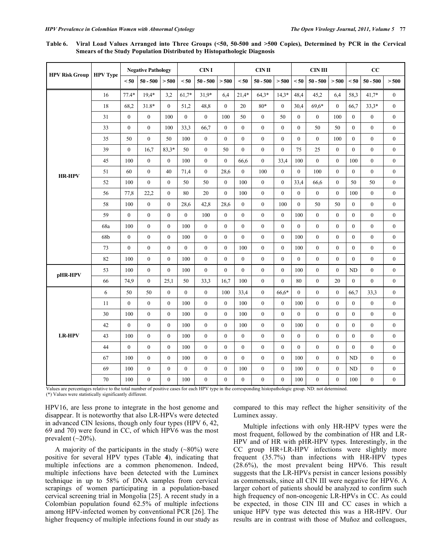**Table 6. Viral Load Values Arranged into Three Groups (<50, 50-500 and >500 Copies), Determined by PCR in the Cervical Smears of the Study Population Distributed by Histopathologic Diagnosis** 

| <b>HPV Risk Group</b> |                 |                  | <b>Negative Pathology</b> |                  | <b>CINI</b>    |                  |                  | $CIN$ II         |                  |                  | <b>CIN III</b>   |                  |                  | CC               |                  |                  |
|-----------------------|-----------------|------------------|---------------------------|------------------|----------------|------------------|------------------|------------------|------------------|------------------|------------------|------------------|------------------|------------------|------------------|------------------|
|                       | <b>HPV</b> Type | $50$             | $50 - 500$                | > 500            | < 50           | $50 - 500$       | > 500            | < 50             | $50 - 500$       | > 500            | < 50             | $50 - 500$       | > 500            | $50$             | $50 - 500$       | > 500            |
|                       | 16              | $77.4*$          | $19.4*$                   | 3.2              | $61,7*$        | $31.9*$          | 6,4              | $21,4*$          | $64.3*$          | $14,3*$          | 48,4             | 45,2             | 6.4              | 58,3             | $41,7*$          | $\mathbf{0}$     |
|                       | 18              | 68,2             | 31.8*                     | $\theta$         | 51,2           | 48,8             | $\theta$         | 20               | $80*$            | $\theta$         | 30,4             | 69,6*            | $\Omega$         | 66,7             | $33,3*$          | $\theta$         |
|                       | 31              | $\overline{0}$   | $\mathbf{0}$              | 100              | $\overline{0}$ | $\mathbf{0}$     | 100              | 50               | $\boldsymbol{0}$ | 50               | $\boldsymbol{0}$ | $\boldsymbol{0}$ | 100              | $\boldsymbol{0}$ | $\boldsymbol{0}$ | $\boldsymbol{0}$ |
|                       | 33              | $\overline{0}$   | $\boldsymbol{0}$          | 100              | 33,3           | 66,7             | $\boldsymbol{0}$ | $\boldsymbol{0}$ | $\boldsymbol{0}$ | $\boldsymbol{0}$ | $\boldsymbol{0}$ | 50               | 50               | $\boldsymbol{0}$ | $\boldsymbol{0}$ | $\boldsymbol{0}$ |
|                       | 35              | 50               | $\theta$                  | 50               | 100            | $\mathbf{0}$     | $\mathbf{0}$     | $\overline{0}$   | $\overline{0}$   | $\mathbf{0}$     | $\boldsymbol{0}$ | $\overline{0}$   | 100              | $\mathbf{0}$     | $\boldsymbol{0}$ | $\boldsymbol{0}$ |
|                       | 39              | $\boldsymbol{0}$ | 16,7                      | $83.3*$          | 50             | $\boldsymbol{0}$ | 50               | $\boldsymbol{0}$ | $\mathbf{0}$     | $\mathbf{0}$     | 75               | 25               | $\boldsymbol{0}$ | $\boldsymbol{0}$ | $\boldsymbol{0}$ | $\boldsymbol{0}$ |
|                       | 45              | 100              | $\mathbf{0}$              | $\mathbf{0}$     | 100            | $\mathbf{0}$     | $\mathbf{0}$     | 66,6             | $\overline{0}$   | 33,4             | 100              | $\overline{0}$   | $\mathbf{0}$     | 100              | $\boldsymbol{0}$ | $\boldsymbol{0}$ |
| <b>HR-HPV</b>         | 51              | 60               | $\mathbf{0}$              | 40               | 71,4           | $\mathbf{0}$     | 28,6             | $\overline{0}$   | 100              | $\mathbf{0}$     | $\mathbf{0}$     | 100              | $\mathbf{0}$     | $\overline{0}$   | $\boldsymbol{0}$ | $\boldsymbol{0}$ |
|                       | 52              | 100              | $\theta$                  | $\mathbf{0}$     | 50             | 50               | $\mathbf{0}$     | 100              | $\theta$         | $\theta$         | 33,4             | 66,6             | $\mathbf{0}$     | 50               | 50               | $\overline{0}$   |
|                       | 56              | 77,8             | 22,2                      | $\boldsymbol{0}$ | 80             | 20               | $\boldsymbol{0}$ | 100              | $\mathbf{0}$     | $\boldsymbol{0}$ | $\boldsymbol{0}$ | $\boldsymbol{0}$ | $\boldsymbol{0}$ | 100              | $\boldsymbol{0}$ | $\boldsymbol{0}$ |
|                       | 58              | 100              | $\boldsymbol{0}$          | $\boldsymbol{0}$ | 28,6           | 42,8             | 28,6             | $\overline{0}$   | $\mathbf{0}$     | 100              | $\boldsymbol{0}$ | 50               | 50               | $\boldsymbol{0}$ | $\boldsymbol{0}$ | $\boldsymbol{0}$ |
|                       | 59              | $\overline{0}$   | $\boldsymbol{0}$          | $\boldsymbol{0}$ | $\overline{0}$ | 100              | $\boldsymbol{0}$ | $\boldsymbol{0}$ | $\boldsymbol{0}$ | $\boldsymbol{0}$ | 100              | $\boldsymbol{0}$ | $\boldsymbol{0}$ | $\boldsymbol{0}$ | $\boldsymbol{0}$ | $\boldsymbol{0}$ |
|                       | 68a             | 100              | $\mathbf{0}$              | $\mathbf{0}$     | 100            | $\mathbf{0}$     | $\mathbf{0}$     | $\overline{0}$   | $\overline{0}$   | $\mathbf{0}$     | $\boldsymbol{0}$ | $\boldsymbol{0}$ | $\mathbf{0}$     | $\boldsymbol{0}$ | $\boldsymbol{0}$ | $\boldsymbol{0}$ |
|                       | 68b             | $\overline{0}$   | $\mathbf{0}$              | $\mathbf{0}$     | 100            | $\boldsymbol{0}$ | $\mathbf{0}$     | $\overline{0}$   | $\overline{0}$   | $\mathbf{0}$     | 100              | $\boldsymbol{0}$ | $\mathbf{0}$     | $\boldsymbol{0}$ | $\boldsymbol{0}$ | $\boldsymbol{0}$ |
|                       | 73              | $\theta$         | $\mathbf{0}$              | $\mathbf{0}$     | $\theta$       | $\mathbf{0}$     | $\mathbf{0}$     | 100              | $\overline{0}$   | $\theta$         | 100              | $\overline{0}$   | $\mathbf{0}$     | $\mathbf{0}$     | $\boldsymbol{0}$ | $\boldsymbol{0}$ |
|                       | 82              | 100              | $\mathbf{0}$              | $\mathbf{0}$     | 100            | $\mathbf{0}$     | $\mathbf{0}$     | $\overline{0}$   | $\overline{0}$   | $\mathbf{0}$     | $\mathbf{0}$     | $\boldsymbol{0}$ | $\mathbf{0}$     | $\mathbf{0}$     | $\boldsymbol{0}$ | $\boldsymbol{0}$ |
| pHR-HPV               | 53              | 100              | $\boldsymbol{0}$          | $\mathbf{0}$     | 100            | $\boldsymbol{0}$ | $\mathbf{0}$     | $\boldsymbol{0}$ | $\mathbf{0}$     | $\mathbf{0}$     | 100              | $\boldsymbol{0}$ | $\boldsymbol{0}$ | ND               | $\boldsymbol{0}$ | $\boldsymbol{0}$ |
|                       | 66              | 74,9             | $\mathbf{0}$              | 25,1             | 50             | 33,3             | 16,7             | 100              | $\mathbf{0}$     | $\mathbf{0}$     | $80\,$           | $\boldsymbol{0}$ | 20               | $\mathbf{0}$     | $\boldsymbol{0}$ | $\boldsymbol{0}$ |
|                       | 6               | 50               | 50                        | $\mathbf{0}$     | $\theta$       | $\boldsymbol{0}$ | 100              | 33,4             | $\overline{0}$   | 66,6*            | $\mathbf{0}$     | $\mathbf{0}$     | $\mathbf{0}$     | 66,7             | 33,3             | $\mathbf{0}$     |
|                       | 11              | $\overline{0}$   | $\mathbf{0}$              | $\mathbf{0}$     | 100            | $\mathbf{0}$     | $\mathbf{0}$     | 100              | $\overline{0}$   | $\mathbf{0}$     | 100              | $\mathbf{0}$     | $\mathbf{0}$     | $\mathbf{0}$     | $\boldsymbol{0}$ | $\boldsymbol{0}$ |
|                       | 30              | 100              | $\mathbf{0}$              | $\mathbf{0}$     | 100            | $\mathbf{0}$     | $\mathbf{0}$     | 100              | $\overline{0}$   | $\mathbf{0}$     | $\mathbf{0}$     | $\mathbf{0}$     | $\mathbf{0}$     | $\mathbf{0}$     | $\boldsymbol{0}$ | $\mathbf{0}$     |
|                       | 42              | $\overline{0}$   | $\mathbf{0}$              | $\mathbf{0}$     | 100            | $\mathbf{0}$     | $\mathbf{0}$     | 100              | $\theta$         | $\theta$         | 100              | $\mathbf{0}$     | $\mathbf{0}$     | $\mathbf{0}$     | $\boldsymbol{0}$ | $\mathbf{0}$     |
| <b>LR-HPV</b>         | 43              | 100              | $\mathbf{0}$              | $\mathbf{0}$     | 100            | $\mathbf{0}$     | $\theta$         | $\overline{0}$   | $\overline{0}$   | $\mathbf{0}$     | $\mathbf{0}$     | $\mathbf{0}$     | $\mathbf{0}$     | $\mathbf{0}$     | $\boldsymbol{0}$ | $\mathbf{0}$     |
|                       | 44              | $\mathbf{0}$     | $\overline{0}$            | $\mathbf{0}$     | 100            | $\mathbf{0}$     | $\mathbf{0}$     | $\overline{0}$   | $\overline{0}$   | $\mathbf{0}$     | $\boldsymbol{0}$ | $\mathbf{0}$     | $\overline{0}$   | $\mathbf{0}$     | $\boldsymbol{0}$ | $\boldsymbol{0}$ |
|                       | 67              | 100              | $\boldsymbol{0}$          | $\mathbf{0}$     | 100            | $\boldsymbol{0}$ | $\mathbf{0}$     | $\overline{0}$   | $\mathbf{0}$     | $\mathbf{0}$     | 100              | $\boldsymbol{0}$ | $\mathbf{0}$     | ND               | $\boldsymbol{0}$ | $\boldsymbol{0}$ |
|                       | 69              | 100              | $\boldsymbol{0}$          | $\boldsymbol{0}$ | $\mathbf{0}$   | $\mathbf{0}$     | $\boldsymbol{0}$ | 100              | $\overline{0}$   | $\mathbf{0}$     | 100              | $\boldsymbol{0}$ | $\overline{0}$   | ND               | $\boldsymbol{0}$ | $\boldsymbol{0}$ |
|                       | 70              | 100              | $\mathbf{0}$              | $\mathbf{0}$     | 100            | $\mathbf{0}$     | $\theta$         | $\overline{0}$   | $\mathbf{0}$     | $\theta$         | 100              | $\mathbf{0}$     | $\theta$         | 100              | $\boldsymbol{0}$ | $\mathbf{0}$     |

Values are percentages relative to the total number of positive cases for each HPV type in the corresponding histopathologic group. ND: not determined.

(\*) Values were statistically significantly different.

HPV16, are less prone to integrate in the host genome and disappear. It is noteworthy that also LR-HPVs were detected in advanced CIN lesions, though only four types (HPV 6, 42, 69 and 70) were found in CC, of which HPV6 was the most prevalent  $(\sim 20\%)$ .

A majority of the participants in the study  $(\sim 80\%)$  were positive for several HPV types (Table **4**), indicating that multiple infections are a common phenomenon. Indeed, multiple infections have been detected with the Luminex technique in up to 58% of DNA samples from cervical scrapings of women participating in a population-based cervical screening trial in Mongolia [25]. A recent study in a Colombian population found 62.5% of multiple infections among HPV-infected women by conventional PCR [26]. The higher frequency of multiple infections found in our study as compared to this may reflect the higher sensitivity of the Luminex assay.

 Multiple infections with only HR-HPV types were the most frequent, followed by the combination of HR and LR-HPV and of HR with pHR-HPV types. Interestingly, in the CC group HR+LR-HPV infections were slightly more frequent (35.7%) than infections with HR-HPV types (28.6%), the most prevalent being HPV6. This result suggests that the LR-HPVs persist in cancer lesions possibly as commensals, since all CIN III were negative for HPV6. A larger cohort of patients should be analyzed to confirm such high frequency of non-oncogenic LR-HPVs in CC. As could be expected, in those CIN III and CC cases in which a unique HPV type was detected this was a HR-HPV. Our results are in contrast with those of Muñoz and colleagues,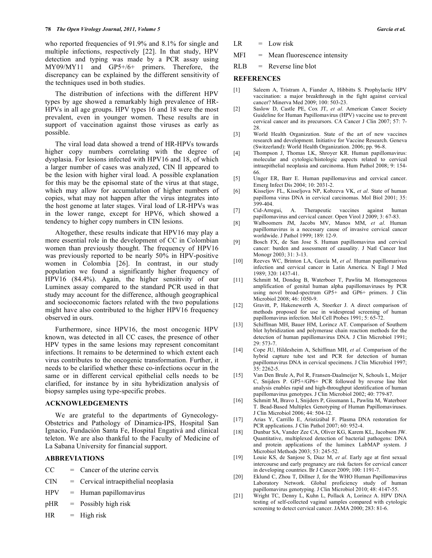who reported frequencies of 91.9% and 8.1% for single and multiple infections, respectively [22]. In that study, HPV detection and typing was made by a PCR assay using MY09/MY11 and GP5+/6+ primers. Therefore, the discrepancy can be explained by the different sensitivity of the techniques used in both studies.

 The distribution of infections with the different HPV types by age showed a remarkably high prevalence of HR-HPVs in all age groups. HPV types 16 and 18 were the most prevalent, even in younger women. These results are in support of vaccination against those viruses as early as possible.

 The viral load data showed a trend of HR-HPVs towards higher copy numbers correlating with the degree of dysplasia. For lesions infected with HPV16 and 18, of which a larger number of cases was analyzed, CIN II appeared to be the lesion with higher viral load. A possible explanation for this may be the episomal state of the virus at that stage, which may allow for accumulation of higher numbers of copies, what may not happen after the virus integrates into the host genome at later stages. Viral load of LR-HPVs was in the lower range, except for HPV6, which showed a tendency to higher copy numbers in CIN lesions.

 Altogether, these results indicate that HPV16 may play a more essential role in the development of CC in Colombian women than previously thought. The frequency of HPV16 was previously reported to be nearly 50% in HPV-positive women in Colombia [26]. In contrast, in our study population we found a significantly higher frequency of HPV16 (84.4%). Again, the higher sensitivity of our Luminex assay compared to the standard PCR used in that study may account for the difference, although geographical and socioeconomic factors related with the two populations might have also contributed to the higher HPV16 frequency observed in ours.

 Furthermore, since HPV16, the most oncogenic HPV known, was detected in all CC cases, the presence of other HPV types in the same lesions may represent concomitant infections. It remains to be determined to which extent each virus contributes to the oncogenic transformation. Further, it needs to be clarified whether these co-infections occur in the same or in different cervical epithelial cells needs to be clarified, for instance by in situ hybridization analysis of biopsy samples using type-specific probes.

### **ACKNOWLEDGEMENTS**

 We are grateful to the departments of Gynecology-Obstetrics and Pathology of Dinamica-IPS, Hospital San Ignacio, Fundación Santa Fe, Hospital Engativá and clinical teleton. We are also thankful to the Faculty of Medicine of La Sabana University for financial support.

# **ABBREVIATIONS**

- $CC =$  Cancer of the uterine cervix
- $CIN = Cervical intraepithelial neoplasia$
- $HPV = Human papillomavirus$
- pHR = Possibly high risk
- $HR$  = High risk
- $LR = Low risk$
- MFI = Mean fluorescence intensity
- RLB = Reverse line blot

### **REFERENCES**

- [1] Saleem A, Tristram A, Fiander A, Hibbitts S. Prophylactic HPV vaccination: a major breakthrough in the fight against cervical cancer? Minerva Med 2009; 100: 503-23.
- [2] Saslow D, Castle PE, Cox JT, *et al*. American Cancer Society Guideline for Human Papillomavirus (HPV) vaccine use to prevent cervical cancer and its precursors. CA Cancer J Clin 2007; 57: 7- 28.
- [3] World Health Organization. State of the art of new vaccines research and development. Initiative for Vaccine Research. Geneva (Switzerland): World Health Organization. 2006; pp. 96-8.
- [4] Thompson J, Thomas LK, Shroyer KR. Human papillomavirus: molecular and cytologic/histologic aspects related to cervical intraepithelial neoplasia and carcinoma. Hum Pathol 2008; 9: 154- 66.
- [5] Unger ER, Barr E. Human papillomavirus and cervical cancer. Emerg Infect Dis 2004; 10: 2031-2.
- [6] Kisseljov FL, Kisseljova NP, Kobzeva VK, *et al*. State of human papilloma virus DNA in cervical carcinomas. Mol Biol 2001; 35:  $399 - 404$ .
- [7] Cid-Arregui, A. Therapeutic vaccines against human papillomavirus and cervical cancer. Open Virol J 2009; 3: 67-83.
- [8] Walboomers JM, Jacobs MV, Manos MM, *et al*. Human papillomavirus is a necessary cause of invasive cervical cancer worldwide. J Pathol 1999; 189: 12-9.
- [9] Bosch FX, de San Jose S. Human papillomavirus and cervical cancer: burden and assessment of causality. J Natl Cancer Inst Monogr 2003; 31: 3-13.
- [10] Reeves WC, Brinton LA, García M, *et al*. Human papillomarivus infection and cervical cancer in Latin America. N Engl J Med 1989; 320: 1437-41.
- [11] Schmitt M, Dondog B, Waterboer T, Pawlita M. Homogeneous amplification of genital human alpha papillomaviruses by PCR using novel broad-spectrum GP5+ and GP6+ primers. J Clin Microbiol 2008; 46: 1050-9.
- [12] Gravitt, P, Hakenewerth A, Stoerker J. A direct comparison of methods proposed for use in widespread screening of human papillomavirus infection. Mol Cell Probes 1991; 5: 65-72.
- [13] Schiffman MH, Bauer HM, Lorincz AT. Comparison of Southern blot hybridization and polymerase chain reaction methods for the detection of human papillomavirus DNA. J Clin Microbiol 1991; 29: 573-7.
- [14] Cope JU, Hildesheim A, Schiffman MH, *et al*. Comparison of the hybrid capture tube test and PCR for detection of human papillomavirus DNA in cervical specimens. J Clin Microbiol 1997; 35: 2262-5.
- [15] Van Den Brule A, Pol R, Fransen-Daalmeijer N, Schouls L, Meijer C, Snijders P. GP5+/GP6+ PCR followed by reverse line blot analysis enables rapid and high-throughput identification of human papillomavirus genotypes. J Clin Microbiol 2002; 40: 779-87.
- [16] Schmitt M, Bravo I, Snijders P, Gissmann L, Pawlita M, Waterboer T. Bead-Based Multiplex Genotyping of Human Papillomaviruses. J Clin Microbiol 2006; 44: 504-12.
- [17] Arias Y, Carrillo E, Aristizábal F. Plasma DNA restoration for PCR applications. J Clin Pathol 2007; 60: 952-4.
- [18] Dunbar SA, Vander Zee CA, Oliver KG, Karem KL, Jacobson JW. Quantitative, multiplexed detection of bacterial pathogens: DNA and protein applications of the luminex LabMAP system. J Microbiol Methods 2003; 53: 245-52.
- [19] Louie KS, de Sanjose S, Diaz M, *et al*. Early age at first sexual intercourse and early pregnancy are risk factors for cervical cancer in developing countries. Br J Cancer 2009; 100: 1191-7.
- [20] Eklund C, Zhou T, Dillner J, for the WHO Human Papillomavirus Laboratory Network. Global proficiency study of human papillomavirus genotyping. J Clin Microbiol 2010; 48: 4147-55.
- [21] Wright TC, Denny L, Kuhn L, Pollack A, Lorincz A. HPV DNA testing of self-collected vaginal samples compared with cytologic screening to detect cervical cancer. JAMA 2000; 283: 81-6.